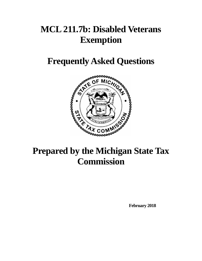# **MCL 211.7b: Disabled Veterans Exemption**

# **Frequently Asked Questions**



# **Prepared by the Michigan State Tax Commission**

**February 2018**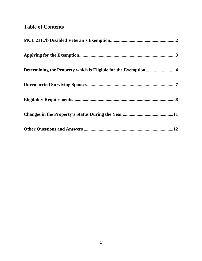# **Table of Contents**

| Determining the Property which is Eligible for the Exemption4 |
|---------------------------------------------------------------|
|                                                               |
|                                                               |
|                                                               |
| .12                                                           |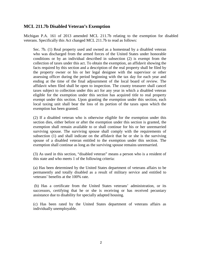### <span id="page-2-0"></span>**MCL 211.7b Disabled Veteran's Exemption**

Michigan P.A. 161 of 2013 amended MCL 211.7b relating to the exemption for disabled veterans. Specifically this Act changed MCL 211.7b to read as follows:

Sec. 7b. (1) Real property used and owned as a homestead by a disabled veteran who was discharged from the armed forces of the United States under honorable conditions or by an individual described in subsection (2) is exempt from the collection of taxes under this act. To obtain the exemption, an affidavit showing the facts required by this section and a description of the real property shall be filed by the property owner or his or her legal designee with the supervisor or other assessing officer during the period beginning with the tax day for each year and ending at the time of the final adjournment of the local board of review. The affidavit when filed shall be open to inspection. The county treasurer shall cancel taxes subject to collection under this act for any year in which a disabled veteran eligible for the exemption under this section has acquired title to real property exempt under this section. Upon granting the exemption under this section, each local taxing unit shall bear the loss of its portion of the taxes upon which the exemption has been granted.

(2) If a disabled veteran who is otherwise eligible for the exemption under this section dies, either before or after the exemption under this section is granted, the exemption shall remain available to or shall continue for his or her unremarried surviving spouse. The surviving spouse shall comply with the requirements of subsection (1) and shall indicate on the affidavit that he or she is the surviving spouse of a disabled veteran entitled to the exemption under this section. The exemption shall continue as long as the surviving spouse remains unremarried.

(3) As used in this section, "disabled veteran" means a person who is a resident of this state and who meets 1 of the following criteria:

(a) Has been determined by the United States department of veterans affairs to be permanently and totally disabled as a result of military service and entitled to veterans' benefits at the 100% rate.

(b) Has a certificate from the United States veterans' administration, or its successors, certifying that he or she is receiving or has received pecuniary assistance due to disability for specially adapted housing.

(c) Has been rated by the United States department of veterans affairs as individually unemployable.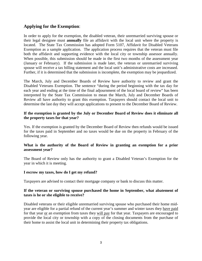## <span id="page-3-0"></span>**Applying for the Exemption**:

In order to apply for the exemption, the disabled veteran, their unremarried surviving spouse or their legal designee must **annually** file an affidavit with the local unit where the property is located. The State Tax Commission has adopted Form 5107, Affidavit for Disabled Veterans Exemption as a sample application. The application process requires that the veteran must file both the affidavit and supporting evidence with the local city or township assessor annually. When possible, this submission should be made in the first two months of the assessment year (January or February). If the submission is made later, the veteran or unremarried surviving spouse will receive a tax billing statement and the local unit's administrative costs are increased. Further, if it is determined that the submission is incomplete, the exemption may be jeopardized.

The March, July and December Boards of Review have authority to review and grant the Disabled Veterans Exemption. The sentence "during the period beginning with the tax day for each year and ending at the time of the final adjournment of the local board of review" has been interpreted by the State Tax Commission to mean the March, July and December Boards of Review all have authority to grant this exemption. Taxpayers should contact the local unit to determine the last day they will accept applications to present to the December Board of Review.

#### **If the exemption is granted by the July or December Board of Review does it eliminate all the property taxes for that year?**

Yes. If the exemption is granted by the December Board of Review then refunds would be issued for the taxes paid in September and no taxes would be due on the property in February of the following year.

#### **What is the authority of the Board of Review in granting an exemption for a prior assessment year?**

The Board of Review only has the authority to grant a Disabled Veteran's Exemption for the year in which it is meeting.

#### **I escrow my taxes, how do I get my refund?**

Taxpayers are advised to contact their mortgage company or bank to discuss this matter.

#### **If the veteran or surviving spouse purchased the home in September, what abatement of taxes is he or she eligible to receive?**

Disabled veterans or their eligible unremarried surviving spouse who purchased their home midyear are eligible for a partial refund of the current year's summer and winter taxes they have paid for that year or an exemption from taxes they will pay for that year. Taxpayers are encouraged to provide the local city or township with a copy of the closing documents from the purchase of their home to assist the local unit in determining their property tax obligations.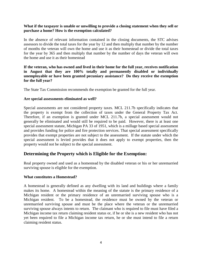#### **What if the taxpayer is unable or unwilling to provide a closing statement when they sell or purchase a home? How is the exemption calculated?**

In the absence of relevant information contained in the closing documents, the STC advises assessors to divide the total taxes for the year by 12 and then multiply that number by the number of months the veteran will own the home and use it as their homestead or divide the total taxes for the year by 365 and then multiply that number by the number of days the veteran will own the home and use it as their homestead

#### **If the veteran, who has owned and lived in their home for the full year, receives notification in August that they are 100% totally and permanently disabled or individually unemployable or have been granted pecuniary assistance? Do they receive the exemption for the full year?**

The State Tax Commission recommends the exemption be granted for the full year.

#### **Are special assessments eliminated as well?**

Special assessments are not considered property taxes. MCL 211.7b specifically indicates that the property is exempt from the collection of taxes under the General Property Tax Act. Therefore, if an exemption is granted under MCL 211.7b, a special assessment would not generally be eliminated and would still be required to be paid. However, there is at least one special assessment statute, Michigan PA 33 of 1951, which is a millage based special assessment and provides funding for police and fire protection services. That special assessment specifically provides that exempt properties are not subject to the assessment. If the statute under which the special assessment is levied provides that it does not apply to exempt properties, then the property would not be subject to the special assessment.

#### <span id="page-4-0"></span>**Determining the Property which is Eligible for the Exemption:**

Real property owned and used as a homestead by the disabled veteran or his or her unremarried surviving spouse is eligible for the exemption.

#### **What constitutes a Homestead?**

A homestead is generally defined as any dwelling with its land and buildings where a family makes its home. A homestead within the meaning of the statute is the primary residence of a Michigan resident or the primary residence of an unremarried surviving spouse who is a Michigan resident. To be a homestead, the residence must be owned by the veteran or unremarried surviving spouse and must be the place where the veteran or the unremarried surviving spouse always intents to return. The claimant who is required to file must have filed a Michigan income tax return claiming resident status or, if he or she is a new resident who has not yet been required to file a Michigan income tax return, he or she must intend to file a return claiming resident status.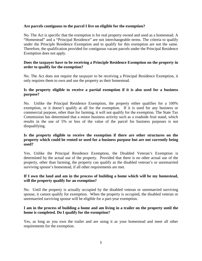#### **Are parcels contiguous to the parcel I live on eligible for the exemption?**

No. The Act is specific that the exemption is for real property owned and used as a homestead. A "Homestead" and a "Principal Residence" are not interchangeable terms. The criteria to qualify under the Principle Residence Exemption and to qualify for this exemption are not the same. Therefore, the qualification provided for contiguous vacant parcels under the Principal Residence Exemption does not apply.

#### **Does the taxpayer have to be receiving a Principle Residence Exemption on the property in order to qualify for the exemption?**

No. The Act does not require the taxpayer to be receiving a Principal Residence Exemption, it only requires them to own and use the property as their homestead.

#### **Is the property eligible to receive a partial exemption if it is also used for a business purpose?**

No. Unlike the Principal Residence Exemption, the property either qualifies for a 100% exemption, or it doesn't qualify at all for the exemption. If it is used for any business or commercial purpose, other than for farming, it will not qualify for the exemption. The State Tax Commission has determined that a minor business activity such as a roadside fruit stand, which results in the use of 5% or less of the value of the parcel for business purposes is not disqualifying.

#### **Is the property eligible to receive the exemption if there are other structures on the property which could be rented or used for a business purpose but are not currently being used?**

Yes. Unlike the Principal Residence Exemption, the Disabled Veteran's Exemption is determined by the actual use of the property. Provided that there is no other actual use of the property, other than farming, the property can qualify as the disabled veteran's or unremarried surviving spouse's homestead, if all other requirements are met.

#### **If I own the land and am in the process of building a home which will be my homestead, will the property qualify for an exemption?**

No. Until the property is actually occupied by the disabled veteran or unremarried surviving spouse, it cannot qualify for exemption. When the property is occupied, the disabled veteran or unremarried surviving spouse will be eligible for a part-year exemption.

#### **I am in the process of building a home and am living in a trailer on the property until the home is completed. Do I qualify for the exemption?**

Yes, as long as you own the trailer and are using it as your homestead and meet all other requirements for the exemption.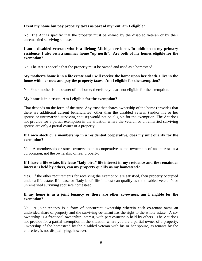#### **I rent my home but pay property taxes as part of my rent, am I eligible?**

No. The Act is specific that the property must be owned by the disabled veteran or by their unremarried surviving spouse.

#### **I am a disabled veteran who is a lifelong Michigan resident. In addition to my primary residence, I also own a summer home "up north". Are both of my homes eligible for the exemption?**

No. The Act is specific that the property must be owned and used as a homestead.

#### **My mother's home is in a life estate and I will receive the home upon her death. I live in the home with her now and pay the property taxes. Am I eligible for the exemption?**

No. Your mother is the owner of the home; therefore you are not eligible for the exemption.

#### **My home is in a trust. Am I eligible for the exemption?**

That depends on the form of the trust. Any trust that shares ownership of the home (provides that there are additional current beneficiaries) other than the disabled veteran (and/or his or her spouse or unremarried surviving spouse) would not be eligible for the exemption. The Act does not provide for a partial exemption in the situation where the veteran or unremarried surviving spouse are only a partial owner of a property.

#### **If I own stock or a membership in a residential cooperative, does my unit qualify for the exemption?**

No. A membership or stock ownership in a cooperative is the ownership of an interest in a corporation, not the ownership of real property.

#### **If I have a life estate, life lease "lady bird" life interest in my residence and the remainder interest is held by others, can my property qualify as my homestead?**

Yes. If the other requirements for receiving the exemption are satisfied, then property occupied under a life estate, life lease or "lady bird" life interest can qualify as the disabled veteran's or unremarried surviving spouse's homestead.

#### **If my home is in a joint tenancy or there are other co-owners, am I eligible for the exemption?**

No. A joint tenancy is a form of concurrent ownership wherein each co-tenant owns an undivided share of property and the surviving co-tenant has the right to the whole estate. A coownership is a fractional ownership interest, with part ownership held by others. The Act does not provide for a partial exemption in the situation where you are a partial owner of a property. Ownership of the homestead by the disabled veteran with his or her spouse, as tenants by the entireties, is not disqualifying, however.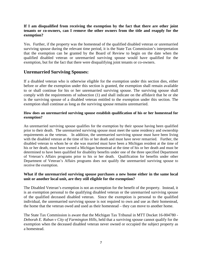#### **If I am disqualified from receiving the exemption by the fact that there are other joint tenants or co-owners, can I remove the other owners from the title and reapply for the exemption?**

Yes. Further, if the property was the homestead of the qualified disabled veteran or unremarried surviving spouse during the relevant time period, it is the State Tax Commission's interpretation that the exemption can be granted by the Board of Review to begin on the date when the qualified disabled veteran or unremarried surviving spouse would have qualified for the exemption, but for the fact that there were disqualifying joint tenants or co-owners.

### <span id="page-7-0"></span>**Unremarried Surviving Spouses:**

If a disabled veteran who is otherwise eligible for the exemption under this section dies, either before or after the exemption under this section is granted, the exemption shall remain available to or shall continue for his or her unremarried surviving spouse. The surviving spouse shall comply with the requirements of subsection (1) and shall indicate on the affidavit that he or she is the surviving spouse of a disabled veteran entitled to the exemption under this section. The exemption shall continue as long as the surviving spouse remains unremarried.

#### **How does an unremarried surviving spouse establish qualification of his or her homestead for exemption?**

An unremarried surviving spouse qualifies for the exemption by their spouse having been qualified prior to their death. The unremarried surviving spouse must meet the same residency and ownership requirements as the veteran. In addition, the unremarried surviving spouse must have been living with the disabled veteran at the time of his or her death and must have never remarried. Further, the disabled veteran to whom he or she was married must have been a Michigan resident at the time of his or her death, must have owned a Michigan homestead at the time of his or her death and must be determined to have been qualified for disability benefits under one of the three specified Department of Veteran's Affairs programs prior to his or her death. Qualification for benefits under other Department of Veteran's Affairs programs does not qualify the unremarried surviving spouse to receive the exemption.

#### **What if the unremarried surviving spouse purchases a new home either in the same local unit or another local unit, are they still eligible for the exemption?**

The Disabled Veteran's exemption is not an exemption for the benefit of the property. Instead, it is an exemption personal to the qualifying disabled veteran or the unremarried surviving spouse of the qualified deceased disabled veteran. Since the exemption is personal to the qualified individual, the unremarried surviving spouse is not required to own and use as their homestead, the home that the veteran owed and used as their homestead – they can move to another home.

The State Tax Commission is aware that the Michigan Tax Tribunal in MTT Docket 16-004780 - *Deborah E. Rabun v City of Farmington Hills*, held that a surviving spouse cannot qualify for the exemption when the deceased disabled veteran never owned or occupied the subject property as a homestead.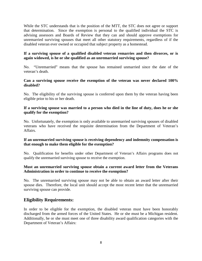While the STC understands that is the position of the MTT, the STC does not agree or support that determination. Since the exemption is personal to the qualified individual the STC is advising assessors and Boards of Review that they can and should approve exemptions for unremarried surviving spouses that meet all other statutory requirements, regardless of if the disabled veteran ever owned or occupied that subject property as a homestead.

#### **If a surviving spouse of a qualified disabled veteran remarries and then divorces, or is again widowed, is he or she qualified as an unremarried surviving spouse?**

No. "Unremarried" means that the spouse has remained unmarried since the date of the veteran's death.

#### **Can a surviving spouse receive the exemption of the veteran was never declared 100% disabled?**

No. The eligibility of the surviving spouse is conferred upon them by the veteran having been eligible prior to his or her death.

#### **If a surviving spouse was married to a person who died in the line of duty, does he or she qualify for the exemption?**

No. Unfortunately, the exemption is only available to unremarried surviving spouses of disabled veterans who have received the requisite determination from the Department of Veteran's Affairs.

#### **If an unremarried surviving spouse is receiving dependency and indemnity compensation is that enough to make them eligible for the exemption?**

No. Qualification for benefits under other Department of Veteran's Affairs programs does not qualify the unremarried surviving spouse to receive the exemption.

#### **Must an unremarried surviving spouse obtain a current award letter from the Veterans Administration in order to continue to receive the exemption?**

No. The unremarried surviving spouse may not be able to obtain an award letter after their spouse dies. Therefore, the local unit should accept the most recent letter that the unremarried surviving spouse can provide.

# <span id="page-8-0"></span>**Eligibility Requirements:**

In order to be eligible for the exemption, the disabled veteran must have been honorably discharged from the armed forces of the United States. He or she must be a Michigan resident. Additionally, he or she must meet one of three disability award qualification categories with the Department of Veteran's Affairs: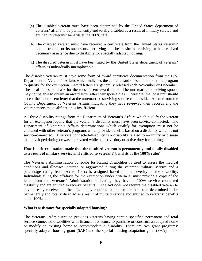- (a) The disabled veteran must have been determined by the United States department of veterans' affairs to be permanently and totally disabled as a result of military service and entitled to veterans' benefits at the 100% rate.
- (b) The disabled veteran must have received a certificate from the United States veterans' administration, or its successors, certifying that he or she is receiving or has received pecuniary assistance due to disability for specially adapted housing.
- (c) The disabled veteran must have been rated by the United States department of veterans' affairs as individually unemployable.

The disabled veteran must have some form of award certificate documentation from the U.S. Department of Veteran's Affairs which indicates the actual award of benefits under the program to qualify for the exemption. Award letters are generally released each November or December. The local unit should ask for the most recent award letter. The unremarried surviving spouse may not be able to obtain an award letter after their spouse dies. Therefore, the local unit should accept the most recent letter that the unremarried surviving spouse can provide. A letter from the County Department of Veterans Affairs indicating they have reviewed their records and the veteran meets the qualification is insufficient.

All three disability ratings from the Department of Veteran's Affairs which qualify the veteran for an exemption require that the veteran's disability must have been service-connected. The Department of Veteran's Affairs determinations which qualify for exemption must not be confused with other veteran's programs which provide benefits based on a disability which is not service-connected. A service connected-disability is a disability related to an injury or disease that developed during or was aggravated while on active duty or active duty for training.

#### **How is a determination made that the disabled veteran is permanently and totally disabled as a result of military service and entitled to veterans' benefits at the 100% rate?**

The Veteran's Administration Schedule for Rating Disabilities is used to assess the medical conditions and illnesses incurred or aggravated during the veteran's military service and a percentage rating from 0% to 100% is assigned based on the severity of the disability. Individuals filing the affidavit for the exemption under criteria a) must provide a copy of the letter from the Veterans' Administration indicating they have a 100% service connected disability and are entitled to receive benefits. The Act does not require the disabled veteran to have already received the benefit, it only requires that he or she has been determined to be permanently and totally disabled as a result of military service and entitled to veterans' benefits at the 100% rate.

#### **What is assistance for specially adapted housing?**

The Veterans' Administration provides veterans having certain specified permanent and total service-connected disabilities with financial assistance to purchase or construct an adapted home or modify an existing home to accommodate a disability. There are two grant programs: specially adapted housing grant (SAH) and the special housing adaptation grant (SHA). The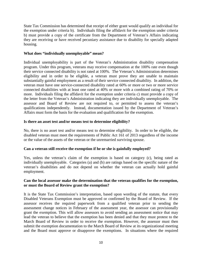State Tax Commission has determined that receipt of either grant would qualify an individual for the exemption under criteria b). Individuals filing the affidavit for the exemption under criteria b) must provide a copy of the certificate from the Department of Veteran's Affairs indicating they are receiving or have received pecuniary assistance due to disability for specially adapted housing.

#### **What does "individually unemployable" mean?**

Individual unemployability is part of the Veteran's Administration disability compensation program. Under this program, veterans may receive compensation at the 100% rate even though their service connected disability is not rated at 100%. The Veteran's Administration determines eligibility and in order to be eligible, a veteran must prove they are unable to maintain substantially gainful employment as a result of their service connected disability. In addition, the veteran must have one service-connected disability rated at 60% or more or two or more service connected disabilities with at least one rated at 40% or more with a combined rating of 70% or more. Individuals filing the affidavit for the exemption under criteria c) must provide a copy of the letter from the Veteran's Administration indicating they are individually unemployable. The assessor and Board of Review are not required to, or permitted to assess the veteran's qualifications independently. Instead, documentation issued by the Department of Veteran's Affairs must form the basis for the evaluation and qualification for the exemption.

#### **Is there an asset test and/or means test to determine eligibility?**

No, there is no asset test and/or means test to determine eligibility. In order to be eligible, the disabled veteran must meet the requirements of Public Act 161 of 2013 regardless of the income or the value of the assets of the veteran or the unremarried surviving spouse.

#### **Can a veteran still receive the exemption if he or she is gainfully employed?**

Yes, unless the veteran's claim of the exemption is based on category (c), being rated as individually unemployable. Categories (a) and (b) are ratings based on the specific nature of the veteran's disabilities and do not depend on whether the veteran can actually hold gainful employment.

#### **Can the local assessor make the determination that the veteran qualifies for the exemption, or must the Board of Review grant the exemption?**

It is the State Tax Commission's interpretation, based upon wording of the statute, that every Disabled Veterans Exemption must be approved or confirmed by the Board of Review. If the assessor receives the required paperwork from a qualified veteran prior to sending the assessment change notices in February of the assessment year, the assessor can provisionally grant the exemption. This will allow assessors to avoid sending an assessment notice that may lead the veteran to believe that the exemption has been denied and that they must protest to the March Board of Review in order to receive the exemption. However, the assessor must then submit the exemption documentation to the March Board of Review at its organizational meeting and the Board must approve or disapprove the exemptions. In situations where the required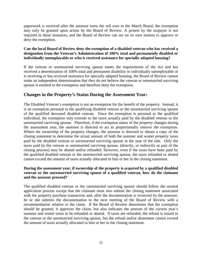paperwork is received after the assessor turns the roll over to the March Board, the exemption may only be granted upon action by the Board of Review. A protest by the taxpayer is not required in these instances, and the Board of Review can act on its own motion to approve or deny the exemption.

#### **Can the local Board of Review deny the exemption of a disabled veteran who has received a designation from the Veteran's Administration of 100% total and permanently disabled or individually unemployable or who is received assistance for specially adapted housing?**

If the veteran or unremarried surviving spouse meets the requirements of the Act and has received a determination of 100% total and permanent disability or individually unemployable or is receiving or has received assistance for specially adapted housing, the Board of Review cannot make an independent determination that they do not believe the veteran or unremarried surviving spouse is entitled to the exemption and therefore deny the exemption.

### <span id="page-11-0"></span>**Changes in the Property's Status During the Assessment Year:**

The Disabled Veteran's exemption is not an exemption for the benefit of the property. Instead, it is an exemption personal to the qualifying disabled veteran or the unremarried surviving spouse of the qualified deceased disabled veteran. Since the exemption is personal to the qualified individual, the exemption only extends to the taxes actually paid by the disabled veteran or the unremarried surviving spouse. Therefore, if the exemption status of the property changes during the assessment year, the assessor is directed to act to proportionally remove the exemption. Where the ownership of the property changes, the assessor is directed to obtain a copy of the closing statement to determine the actual amount of both the summer and winter property taxes paid by the disabled veteran or unremarried surviving spouse in the year of the sale. Only the taxes paid by the veteran or unremarried surviving spouse, (directly, or indirectly as part of the closing process) may be abated and/or refunded. However, even if the taxes have been paid by the qualified disabled veteran or the unremarried surviving spouse, the taxes refunded or abated cannot exceed the amount of taxes actually allocated to him or her in the closing statement.

#### **During the assessment year, if ownership of the property is** *acquired* **by a qualified disabled veteran or the unremarried surviving spouse of a qualified veteran, how do the claimant and the assessor proceed?**

The qualified disabled veteran or the unremarried surviving spouse should follow the normal application process except that the claimant must also submit the closing statement associated with the property purchase transaction and, after the documentation is reviewed by the assessor, he or she submits the documentation to the next meeting of the Board of Review with a recommendation relative to the claim. If the Board of Review determines that the exemption should be granted, it approves the claim, but also indicates the amount of the current year's summer and winter taxes to be refunded or abated. If taxes are refunded, the refund is issued to the veteran or the unremarried surviving spouse, but the refund and/or abatement cannot exceed the amount of taxes actually allocated to him or her in the closing statement.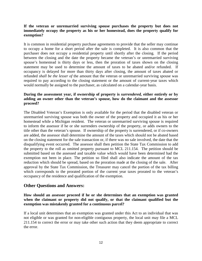#### **If the veteran or unremarried surviving spouse purchases the property but does not immediately occupy the property as his or her homestead, does the property qualify for exemption?**

It is common in residential property purchase agreements to provide that the seller may continue to occupy a home for a short period after the sale is completed. It is also common that the purchaser does not occupy a residential property until shortly after the closing. If the period between the closing and the date the property became the veteran's or unremarried surviving spouse's homestead is thirty days or less, then the proration of taxes shown on the closing statement may be used to determine the amount of taxes to be abated and/or refunded. If occupancy is delayed for more than thirty days after closing, the amount of taxes abated or refunded *shall be the lesser of* the amount that the veteran or unremarried surviving spouse was required to pay according to the closing statement or the amount of current-year taxes which would normally be assigned to the purchaser, as calculated on a calendar-year basis.

#### **During the assessment year, if ownership of property is** *surrendered,* **either entirely or by adding an owner other than the veteran's spouse, how do the claimant and the assessor proceed?**

The Disabled Veteran's Exemption is only available for the period that the disabled veteran or unremarried surviving spouse was both the owner of the property and occupied it as his or her homestead while a Michigan resident. The veteran or unremarried surviving spouse is required to inform the assessor if he or she surrenders ownership of the property, or adds owners to the title other than the veteran's spouse. If ownership of the property is surrendered, or if co-owners are added, the assessor shall determine the amount of the taxes which should not be abated based on the closing statement for the sale transaction or, if there was no sale involved, the date that the disqualifying event occurred. The assessor shall then petition the State Tax Commission to add the property to the roll as omitted property pursuant to MCL 211.154. The petition should be submitted based on the assessed and taxable value which would have been determined had the exemption not been in place. The petition so filed shall also indicate the amount of the tax reduction which should be spread, based on the proration made at the closing of the sale. After approval by the State Tax Commission, the Treasurer may cancel the portion of the tax billing which corresponds to the prorated portion of the current year taxes prorated to the veteran's occupancy of the residence and qualification of the exemption.

#### <span id="page-12-0"></span>**Other Questions and Answers:**

#### **How should an assessor proceed if he or she determines that an exemption was granted when the claimant or property did not qualify, or that the claimant qualified but the exemption was mistakenly granted for a continuous parcel?**

If a local unit determines that an exemption was granted under this Act to an individual that was not eligible or was granted for non-eligible contiguous property, the local unit may file a MCL 211.154 to correct the error or may take other such action that they deem appropriate to correct the error.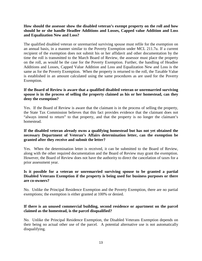#### **How should the assessor show the disabled veteran's exempt property on the roll and how should he or she handle Headlee Additions and Losses, Capped value Addition and Loss and Equalization New and Loss?**

The qualified disabled veteran or unremarried surviving spouse must refile for the exemption on an annual basis, in a manner similar to the Poverty Exemption under MCL 211.7u. If a current recipient of the exemption does not submit his or her affidavit and other documentation by the time the roll is transmitted to the March Board of Review, the assessor must place the property on the roll, as would be the case for the Poverty Exemption. Further, the handling of Headlee Additions and Losses, Capped Value Addition and Loss and Equalization New and Loss is the same as for the Poverty Exemption. When the property is returned to the roll, the Taxable Value is established in an amount calculated using the same procedures as are used for the Poverty Exemption.

#### **If the Board of Review is aware that a qualified disabled veteran or unremarried surviving spouse is in the process of selling the property claimed as his or her homestead, can they deny the exemption?**

Yes. If the Board of Review is aware that the claimant is in the process of selling the property, the State Tax Commission believes that this fact provides evidence that the claimant does not "always intend to return" to that property, and that the property is no longer the claimant's homestead.

#### **If the disabled veteran already owns a qualifying homestead but has not yet obtained the necessary Department of Veteran's Affairs determination letter, can the exemption be granted after they receive and submit the letter?**

Yes. When the determination letter is received, it can be submitted to the Board of Review, along with the other required documentation and the Board of Review may grant the exemption. However, the Board of Review does not have the authority to direct the cancelation of taxes for a prior assessment year.

#### **Is it possible for a veteran or unremarried surviving spouse to be granted a partial Disabled Veterans Exemption if the property is being used for business purposes or there are co-owners?**

No. Unlike the Principal Residence Exemption and the Poverty Exemption, there are no partial exemptions; the exemption is either granted at 100% or denied.

#### **If there is an unused commercial building, second residence or apartment on the parcel claimed as the homestead, is the parcel disqualified?**

No. Unlike the Principal Residence Exemption, the Disabled Veterans Exemption depends on their being no actual other use of the parcel. A potential alternative use is not automatically disqualifying.